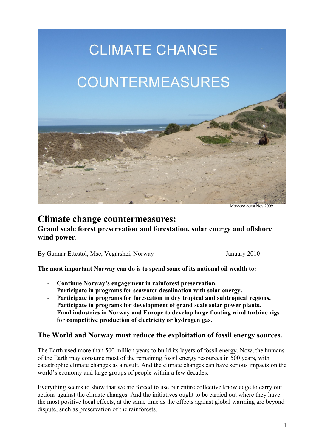

Morocco coast Nov 2009

# **Climate change countermeasures:**

### **Grand scale forest preservation and forestation, solar energy and offshore wind power**.

By Gunnar Ettestøl, Msc, Vegårshei, Norway January 2010

**The most important Norway can do is to spend some of its national oil wealth to:**

- **Continue Norway's engagement in rainforest preservation.**
- **Participate in programs for seawater desalination with solar energy.**
- **Participate in programs for forestation in dry tropical and subtropical regions.**
- **Participate in programs for development of grand scale solar power plants.**
- **Fund industries in Norway and Europe to develop large floating wind turbine rigs for competitive production of electricity or hydrogen gas.**

### **The World and Norway must reduce the exploitation of fossil energy sources.**

The Earth used more than 500 million years to build its layers of fossil energy. Now, the humans of the Earth may consume most of the remaining fossil energy resources in 500 years, with catastrophic climate changes as a result. And the climate changes can have serious impacts on the world's economy and large groups of people within a few decades.

Everything seems to show that we are forced to use our entire collective knowledge to carry out actions against the climate changes. And the initiatives ought to be carried out where they have the most positive local effects, at the same time as the effects against global warming are beyond dispute, such as preservation of the rainforests.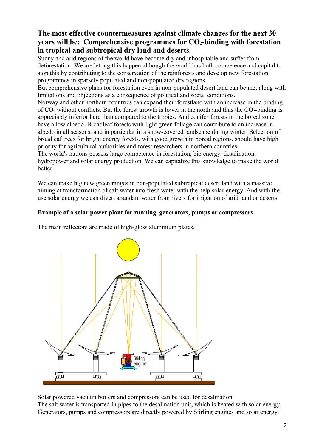## **The most effective countermeasures against climate changes for the next 30 years will be: Comprehensive programmes for CO2-binding with forestation in tropical and subtropical dry land and deserts.**

Sunny and arid regions of the world have become dry and inhospitable and suffer from deforestation. We are letting this happen although the world has both competence and capital to stop this by contributing to the conservation of the rainforests and develop new forestation programmes in sparsely populated and non-populated dry regions.

But comprehensive plans for forestation even in non-populated desert land can be met along with limitations and objections as a consequence of political and social conditions.

Norway and other northern countries can expand their forestland with an increase in the binding of  $CO<sub>2</sub>$  without conflicts. But the forest growth is lower in the north and thus the  $CO<sub>2</sub>$ -binding is appreciably inferior here than compared to the tropics. And conifer forests in the boreal zone have a low albedo. Broadleaf forests with light green foliage can contribute to an increase in albedo in all seasons, and in particular in a snow-covered landscape during winter. Selection of broadleaf trees for bright energy forests, with good growth in boreal regions, should have high priority for agricultural authorities and forest researchers in northern countries.

The world's nations possess large competence in forestation, bio energy, desalination, hydropower and solar energy production. We can capitalize this knowledge to make the world better.

We can make big new green ranges in non-populated subtropical desert land with a massive aiming at transformation of salt water into fresh water with the help solar energy. And with the use solar energy we can divert abundant water from rivers for irrigation of arid land or deserts.

### **Example of a solar power plant for running generators, pumps or compressors.**

The main reflectors are made of high-gloss aluminium plates.



Solar powered vacuum boilers and compressors can be used for desalination.

The salt water is transported in pipes to the desalination unit, which is heated with solar energy. Generators, pumps and compressors are directly powered by Stirling engines and solar energy.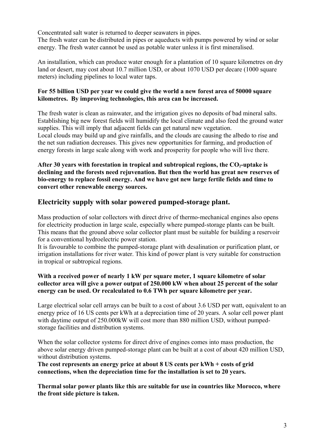Concentrated salt water is returned to deeper seawaters in pipes.

The fresh water can be distributed in pipes or aqueducts with pumps powered by wind or solar energy. The fresh water cannot be used as potable water unless it is first mineralised.

An installation, which can produce water enough for a plantation of 10 square kilometres on dry land or desert, may cost about 10.7 million USD, or about 1070 USD per decare (1000 square meters) including pipelines to local water taps.

#### **For 55 billion USD per year we could give the world a new forest area of 50000 square kilometres. By improving technologies, this area can be increased.**

The fresh water is clean as rainwater, and the irrigation gives no deposits of bad mineral salts. Establishing big new forest fields will humidify the local climate and also feed the ground water supplies. This will imply that adjacent fields can get natural new vegetation. Local clouds may build up and give rainfalls, and the clouds are causing the albedo to rise and the net sun radiation decreases. This gives new opportunities for farming, and production of energy forests in large scale along with work and prosperity for people who will live there.

**After 30 years with forestation in tropical and subtropical regions, the CO2-uptake is declining and the forests need rejuvenation. But then the world has great new reserves of bio-energy to replace fossil energy. And we have got new large fertile fields and time to convert other renewable energy sources.**

## **Electricity supply with solar powered pumped-storage plant.**

Mass production of solar collectors with direct drive of thermo-mechanical engines also opens for electricity production in large scale, especially where pumped-storage plants can be built. This means that the ground above solar collector plant must be suitable for building a reservoir for a conventional hydroelectric power station.

It is favourable to combine the pumped-storage plant with desalination or purification plant, or irrigation installations for river water. This kind of power plant is very suitable for construction in tropical or subtropical regions.

#### **With a received power of nearly 1 kW per square meter, 1 square kilometre of solar collector area will give a power output of 250.000 kW when about 25 percent of the solar energy can be used. Or recalculated to 0.6 TWh per square kilometre per year.**

Large electrical solar cell arrays can be built to a cost of about 3.6 USD per watt, equivalent to an energy price of 16 US cents per kWh at a depreciation time of 20 years. A solar cell power plant with daytime output of 250.000 kW will cost more than 880 million USD, without pumpedstorage facilities and distribution systems.

When the solar collector systems for direct drive of engines comes into mass production, the above solar energy driven pumped-storage plant can be built at a cost of about 420 million USD, without distribution systems.

**The cost represents an energy price at about 8 US cents per kWh + costs of grid connections, when the depreciation time for the installation is set to 20 years.** 

**Thermal solar power plants like this are suitable for use in countries like Morocco, where the front side picture is taken.**